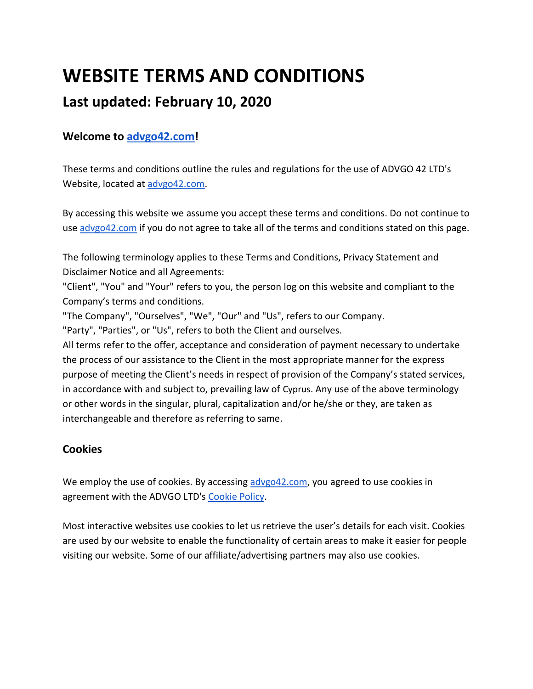# **WEBSITE TERMS AND CONDITIONS**

# **Last updated: February 10, 2020**

## **Welcome to [advgo42.com!](https://advgo42.com/)**

These terms and conditions outline the rules and regulations for the use of ADVGO 42 LTD's Website, located at [advgo42.com.](https://advgo42.com/)

By accessing this website we assume you accept these terms and conditions. Do not continue to us[e advgo42.com](https://advgo42.com/) if you do not agree to take all of the terms and conditions stated on this page.

The following terminology applies to these Terms and Conditions, Privacy Statement and Disclaimer Notice and all Agreements:

"Client", "You" and "Your" refers to you, the person log on this website and compliant to the Company's terms and conditions.

"The Company", "Ourselves", "We", "Our" and "Us", refers to our Company.

"Party", "Parties", or "Us", refers to both the Client and ourselves.

All terms refer to the offer, acceptance and consideration of payment necessary to undertake the process of our assistance to the Client in the most appropriate manner for the express purpose of meeting the Client's needs in respect of provision of the Company's stated services, in accordance with and subject to, prevailing law of Cyprus. Any use of the above terminology or other words in the singular, plural, capitalization and/or he/she or they, are taken as interchangeable and therefore as referring to same.

## **Cookies**

We employ the use of cookies. By accessing [advgo42.com,](https://advgo42.com/) you agreed to use cookies in agreement with the ADVGO LTD's [Cookie Policy.](https://docs.google.com/document/d/e/2PACX-1vQGq_WCTlsQExS-PNEHRJtV3VKvtyd4MGp9QlwqkhEGKeMV-TPju8lwlRDV7aQhO8t4XZvA2lzwn5-P/pub)

Most interactive websites use cookies to let us retrieve the user's details for each visit. Cookies are used by our website to enable the functionality of certain areas to make it easier for people visiting our website. Some of our affiliate/advertising partners may also use cookies.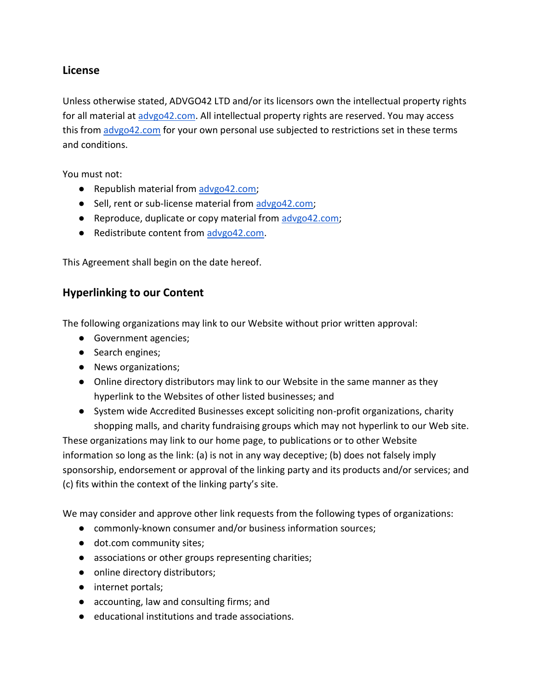#### **License**

Unless otherwise stated, ADVGO42 LTD and/or its licensors own the intellectual property rights for all material at [advgo42.com.](https://advgo42.com/) All intellectual property rights are reserved. You may access this from [advgo42.com](https://advgo42.com/) for your own personal use subjected to restrictions set in these terms and conditions.

You must not:

- Republish material from [advgo42.com;](https://advgo42.com/)
- Sell, rent or sub-license material from [advgo42.com;](https://advgo42.com/)
- Reproduce, duplicate or copy material from [advgo42.com;](https://advgo42.com/)
- Redistribute content fro[m advgo42.com.](https://advgo42.com/)

This Agreement shall begin on the date hereof.

#### **Hyperlinking to our Content**

The following organizations may link to our Website without prior written approval:

- Government agencies;
- Search engines;
- News organizations;
- Online directory distributors may link to our Website in the same manner as they hyperlink to the Websites of other listed businesses; and
- System wide Accredited Businesses except soliciting non-profit organizations, charity shopping malls, and charity fundraising groups which may not hyperlink to our Web site.

These organizations may link to our home page, to publications or to other Website information so long as the link: (a) is not in any way deceptive; (b) does not falsely imply sponsorship, endorsement or approval of the linking party and its products and/or services; and (c) fits within the context of the linking party's site.

We may consider and approve other link requests from the following types of organizations:

- commonly-known consumer and/or business information sources;
- dot.com community sites;
- associations or other groups representing charities;
- online directory distributors;
- internet portals;
- accounting, law and consulting firms; and
- educational institutions and trade associations.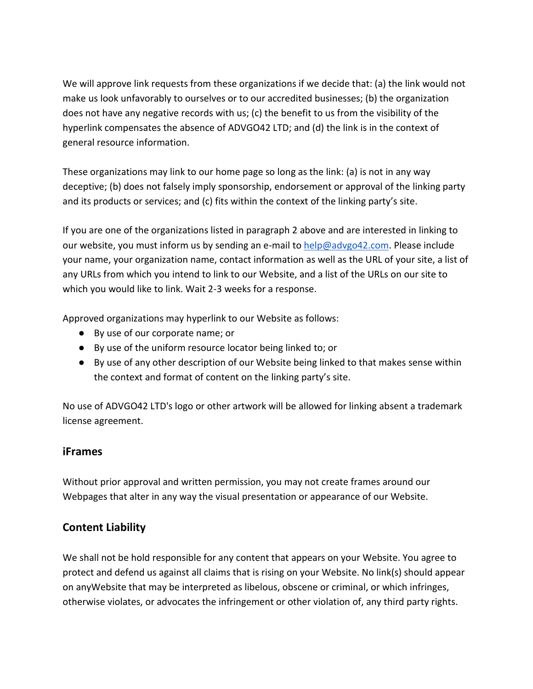We will approve link requests from these organizations if we decide that: (a) the link would not make us look unfavorably to ourselves or to our accredited businesses; (b) the organization does not have any negative records with us; (c) the benefit to us from the visibility of the hyperlink compensates the absence of ADVGO42 LTD; and (d) the link is in the context of general resource information.

These organizations may link to our home page so long as the link: (a) is not in any way deceptive; (b) does not falsely imply sponsorship, endorsement or approval of the linking party and its products or services; and (c) fits within the context of the linking party's site.

If you are one of the organizations listed in paragraph 2 above and are interested in linking to our website, you must inform us by sending an e-mail to [help@advgo42.com.](mailto:help@advgo42.com) Please include your name, your organization name, contact information as well as the URL of your site, a list of any URLs from which you intend to link to our Website, and a list of the URLs on our site to which you would like to link. Wait 2-3 weeks for a response.

Approved organizations may hyperlink to our Website as follows:

- By use of our corporate name; or
- By use of the uniform resource locator being linked to; or
- By use of any other description of our Website being linked to that makes sense within the context and format of content on the linking party's site.

No use of ADVGO42 LTD's logo or other artwork will be allowed for linking absent a trademark license agreement.

#### **iFrames**

Without prior approval and written permission, you may not create frames around our Webpages that alter in any way the visual presentation or appearance of our Website.

#### **Content Liability**

We shall not be hold responsible for any content that appears on your Website. You agree to protect and defend us against all claims that is rising on your Website. No link(s) should appear on anyWebsite that may be interpreted as libelous, obscene or criminal, or which infringes, otherwise violates, or advocates the infringement or other violation of, any third party rights.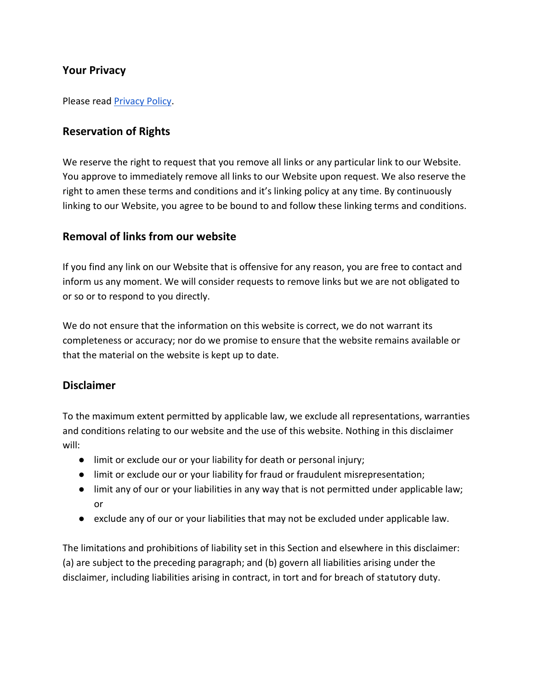#### **Your Privacy**

Please read [Privacy Policy.](https://docs.google.com/document/d/e/2PACX-1vRcXwGPiA84w5US-ZYnvDcC-aqgLXdFn-MCEOY-nYakZvrdj_jdCbWWLEilyhv7ag/pub)

#### **Reservation of Rights**

We reserve the right to request that you remove all links or any particular link to our Website. You approve to immediately remove all links to our Website upon request. We also reserve the right to amen these terms and conditions and it's linking policy at any time. By continuously linking to our Website, you agree to be bound to and follow these linking terms and conditions.

#### **Removal of links from our website**

If you find any link on our Website that is offensive for any reason, you are free to contact and inform us any moment. We will consider requests to remove links but we are not obligated to or so or to respond to you directly.

We do not ensure that the information on this website is correct, we do not warrant its completeness or accuracy; nor do we promise to ensure that the website remains available or that the material on the website is kept up to date.

#### **Disclaimer**

To the maximum extent permitted by applicable law, we exclude all representations, warranties and conditions relating to our website and the use of this website. Nothing in this disclaimer will:

- limit or exclude our or your liability for death or personal injury;
- limit or exclude our or your liability for fraud or fraudulent misrepresentation;
- limit any of our or your liabilities in any way that is not permitted under applicable law; or
- exclude any of our or your liabilities that may not be excluded under applicable law.

The limitations and prohibitions of liability set in this Section and elsewhere in this disclaimer: (a) are subject to the preceding paragraph; and (b) govern all liabilities arising under the disclaimer, including liabilities arising in contract, in tort and for breach of statutory duty.